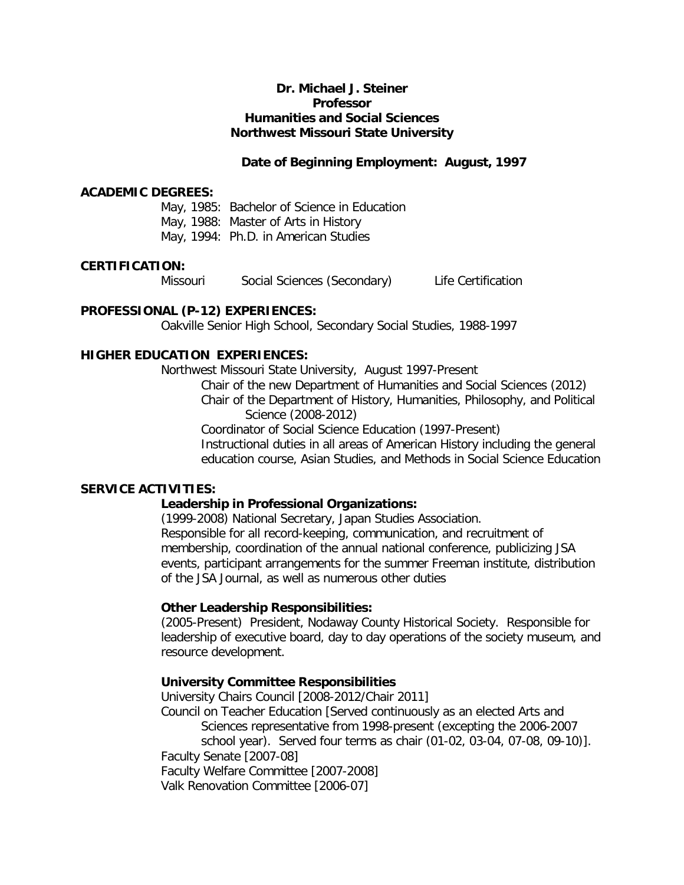# **Dr. Michael J. Steiner Professor Humanities and Social Sciences Northwest Missouri State University**

# **Date of Beginning Employment: August, 1997**

### **ACADEMIC DEGREES:**

May, 1985: Bachelor of Science in Education May, 1988: Master of Arts in History May, 1994: Ph.D. in American Studies

### **CERTIFICATION:**

Missouri Social Sciences (Secondary) Life Certification

# **PROFESSIONAL (P-12) EXPERIENCES:**

Oakville Senior High School, Secondary Social Studies, 1988-1997

# **HIGHER EDUCATION EXPERIENCES:**

Northwest Missouri State University, August 1997-Present

Chair of the new Department of Humanities and Social Sciences (2012) Chair of the Department of History, Humanities, Philosophy, and Political Science (2008-2012)

Coordinator of Social Science Education (1997-Present) Instructional duties in all areas of American History including the general education course, Asian Studies, and Methods in Social Science Education

# **SERVICE ACTIVITIES:**

# **Leadership in Professional Organizations:**

(1999-2008) National Secretary, Japan Studies Association. Responsible for all record-keeping, communication, and recruitment of membership, coordination of the annual national conference, publicizing JSA events, participant arrangements for the summer Freeman institute, distribution of the JSA Journal, as well as numerous other duties

# **Other Leadership Responsibilities:**

(2005-Present) President, Nodaway County Historical Society. Responsible for leadership of executive board, day to day operations of the society museum, and resource development.

# **University Committee Responsibilities**

University Chairs Council [2008-2012/Chair 2011] Council on Teacher Education [Served continuously as an elected Arts and Sciences representative from 1998-present (excepting the 2006-2007 school year). Served four terms as chair (01-02, 03-04, 07-08, 09-10)]. Faculty Senate [2007-08] Faculty Welfare Committee [2007-2008] Valk Renovation Committee [2006-07]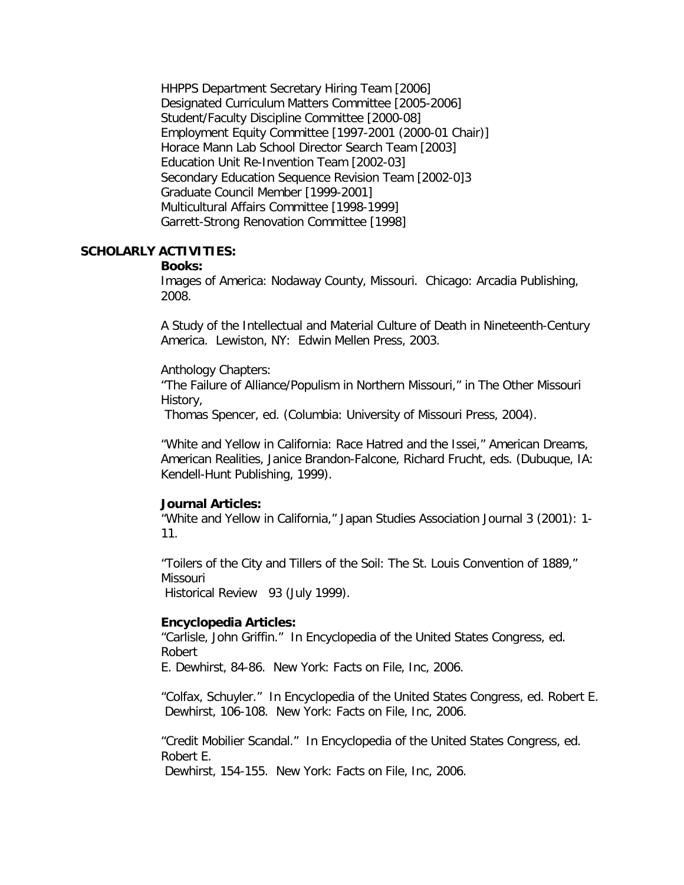HHPPS Department Secretary Hiring Team [2006] Designated Curriculum Matters Committee [2005-2006] Student/Faculty Discipline Committee [2000-08] Employment Equity Committee [1997-2001 (2000-01 Chair)] Horace Mann Lab School Director Search Team [2003] Education Unit Re-Invention Team [2002-03] Secondary Education Sequence Revision Team [2002-0]3 Graduate Council Member [1999-2001] Multicultural Affairs Committee [1998-1999] Garrett-Strong Renovation Committee [1998]

# **SCHOLARLY ACTIVITIES:**

# **Books:**

Images of America: Nodaway County, Missouri. Chicago: Arcadia Publishing, 2008.

A Study of the Intellectual and Material Culture of Death in Nineteenth-Century America. Lewiston, NY: Edwin Mellen Press, 2003.

Anthology Chapters:

"The Failure of Alliance/Populism in Northern Missouri," in The Other Missouri History,

Thomas Spencer, ed. (Columbia: University of Missouri Press, 2004).

"White and Yellow in California: Race Hatred and the Issei," American Dreams, American Realities, Janice Brandon-Falcone, Richard Frucht, eds. (Dubuque, IA: Kendell-Hunt Publishing, 1999).

# **Journal Articles:**

"White and Yellow in California," Japan Studies Association Journal 3 (2001): 1- 11.

"Toilers of the City and Tillers of the Soil: The St. Louis Convention of 1889," Missouri

Historical Review 93 (July 1999).

# **Encyclopedia Articles:**

"Carlisle, John Griffin." In Encyclopedia of the United States Congress, ed. Robert

E. Dewhirst, 84-86. New York: Facts on File, Inc, 2006.

"Colfax, Schuyler." In Encyclopedia of the United States Congress, ed. Robert E. Dewhirst, 106-108. New York: Facts on File, Inc, 2006.

"Credit Mobilier Scandal." In Encyclopedia of the United States Congress, ed. Robert E.

Dewhirst, 154-155. New York: Facts on File, Inc, 2006.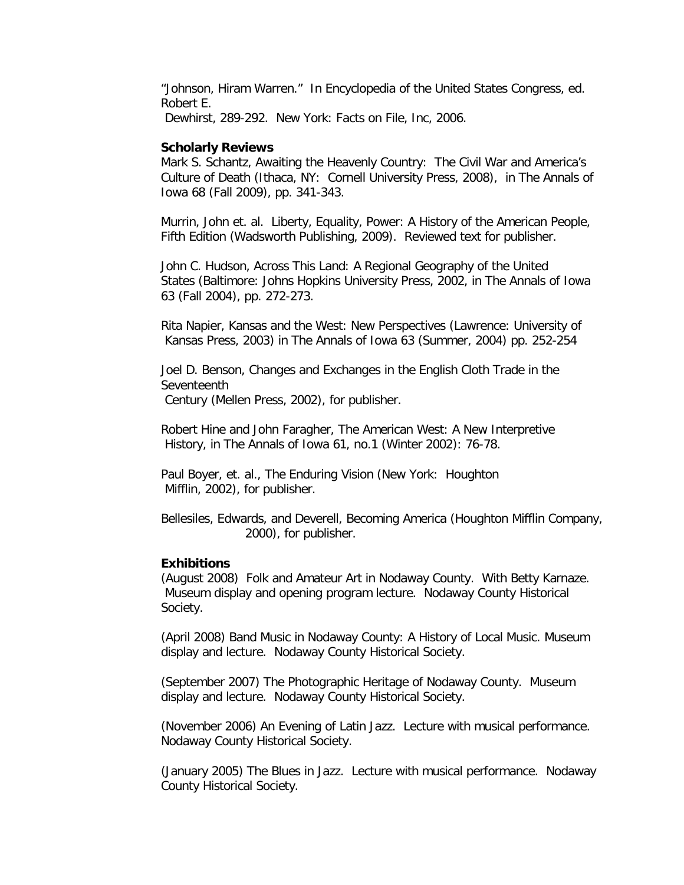"Johnson, Hiram Warren." In Encyclopedia of the United States Congress, ed. Robert E.

Dewhirst, 289-292. New York: Facts on File, Inc, 2006.

#### **Scholarly Reviews**

Mark S. Schantz, Awaiting the Heavenly Country: The Civil War and America's Culture of Death (Ithaca, NY: Cornell University Press, 2008), in The Annals of Iowa 68 (Fall 2009), pp. 341-343.

Murrin, John et. al. Liberty, Equality, Power: A History of the American People, Fifth Edition (Wadsworth Publishing, 2009). Reviewed text for publisher.

John C. Hudson, Across This Land: A Regional Geography of the United States (Baltimore: Johns Hopkins University Press, 2002, in The Annals of Iowa 63 (Fall 2004), pp. 272-273.

Rita Napier, Kansas and the West: New Perspectives (Lawrence: University of Kansas Press, 2003) in The Annals of Iowa 63 (Summer, 2004) pp. 252-254

Joel D. Benson, Changes and Exchanges in the English Cloth Trade in the **Seventeenth** Century (Mellen Press, 2002), for publisher.

Robert Hine and John Faragher, The American West: A New Interpretive

History, in The Annals of Iowa 61, no.1 (Winter 2002): 76-78.

Paul Boyer, et. al., The Enduring Vision (New York: Houghton Mifflin, 2002), for publisher.

Bellesiles, Edwards, and Deverell, Becoming America (Houghton Mifflin Company, 2000), for publisher.

#### **Exhibitions**

(August 2008) Folk and Amateur Art in Nodaway County. With Betty Karnaze. Museum display and opening program lecture. Nodaway County Historical Society.

(April 2008) Band Music in Nodaway County: A History of Local Music. Museum display and lecture. Nodaway County Historical Society.

(September 2007) The Photographic Heritage of Nodaway County. Museum display and lecture. Nodaway County Historical Society.

(November 2006) An Evening of Latin Jazz. Lecture with musical performance. Nodaway County Historical Society.

(January 2005) The Blues in Jazz. Lecture with musical performance. Nodaway County Historical Society.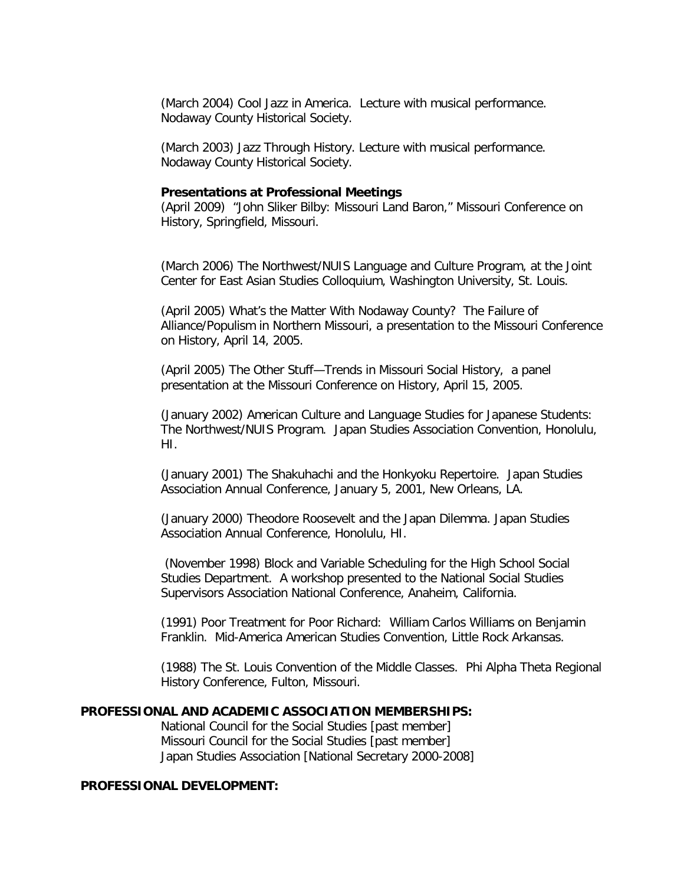(March 2004) Cool Jazz in America. Lecture with musical performance. Nodaway County Historical Society.

(March 2003) Jazz Through History. Lecture with musical performance. Nodaway County Historical Society.

### **Presentations at Professional Meetings**

(April 2009) "John Sliker Bilby: Missouri Land Baron," Missouri Conference on History, Springfield, Missouri.

(March 2006) The Northwest/NUIS Language and Culture Program, at the Joint Center for East Asian Studies Colloquium, Washington University, St. Louis.

(April 2005) What's the Matter With Nodaway County? The Failure of Alliance/Populism in Northern Missouri, a presentation to the Missouri Conference on History, April 14, 2005.

(April 2005) The Other Stuff—Trends in Missouri Social History, a panel presentation at the Missouri Conference on History, April 15, 2005.

(January 2002) American Culture and Language Studies for Japanese Students: The Northwest/NUIS Program. Japan Studies Association Convention, Honolulu, HI.

(January 2001) The Shakuhachi and the Honkyoku Repertoire. Japan Studies Association Annual Conference, January 5, 2001, New Orleans, LA.

(January 2000) Theodore Roosevelt and the Japan Dilemma. Japan Studies Association Annual Conference, Honolulu, HI.

(November 1998) Block and Variable Scheduling for the High School Social Studies Department. A workshop presented to the National Social Studies Supervisors Association National Conference, Anaheim, California.

(1991) Poor Treatment for Poor Richard: William Carlos Williams on Benjamin Franklin. Mid-America American Studies Convention, Little Rock Arkansas.

(1988) The St. Louis Convention of the Middle Classes. Phi Alpha Theta Regional History Conference, Fulton, Missouri.

### **PROFESSIONAL AND ACADEMIC ASSOCIATION MEMBERSHIPS:**

National Council for the Social Studies [past member] Missouri Council for the Social Studies [past member] Japan Studies Association [National Secretary 2000-2008]

# **PROFESSIONAL DEVELOPMENT:**